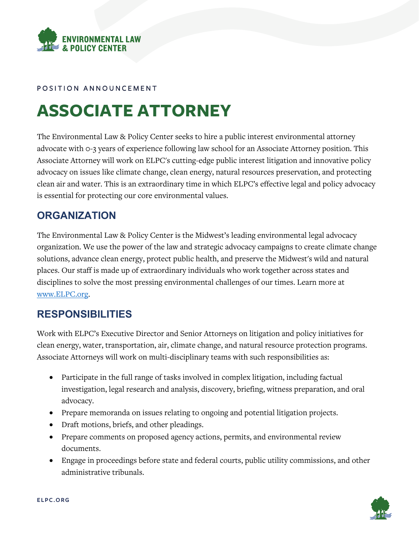

#### POSITION ANNOUNCEMENT

# **ASSOCIATE ATTORNEY**

The Environmental Law & Policy Center seeks to hire a public interest environmental attorney advocate with 0-3 years of experience following law school for an Associate Attorney position. This Associate Attorney will work on ELPC's cutting-edge public interest litigation and innovative policy advocacy on issues like climate change, clean energy, natural resources preservation, and protecting clean air and water. This is an extraordinary time in which ELPC's effective legal and policy advocacy is essential for protecting our core environmental values.

#### **ORGANIZATION**

The Environmental Law & Policy Center is the Midwest's leading environmental legal advocacy organization. We use the power of the law and strategic advocacy campaigns to create climate change solutions, advance clean energy, protect public health, and preserve the Midwest's wild and natural places. Our staff is made up of extraordinary individuals who work together across states and disciplines to solve the most pressing environmental challenges of our times. Learn more at [www.ELPC.org.](http://www.elpc.org/)

### **RESPONSIBILITIES**

Work with ELPC's Executive Director and Senior Attorneys on litigation and policy initiatives for clean energy, water, transportation, air, climate change, and natural resource protection programs. Associate Attorneys will work on multi-disciplinary teams with such responsibilities as:

- Participate in the full range of tasks involved in complex litigation, including factual investigation, legal research and analysis, discovery, briefing, witness preparation, and oral advocacy.
- Prepare memoranda on issues relating to ongoing and potential litigation projects.
- Draft motions, briefs, and other pleadings.
- Prepare comments on proposed agency actions, permits, and environmental review documents.
- Engage in proceedings before state and federal courts, public utility commissions, and other administrative tribunals.